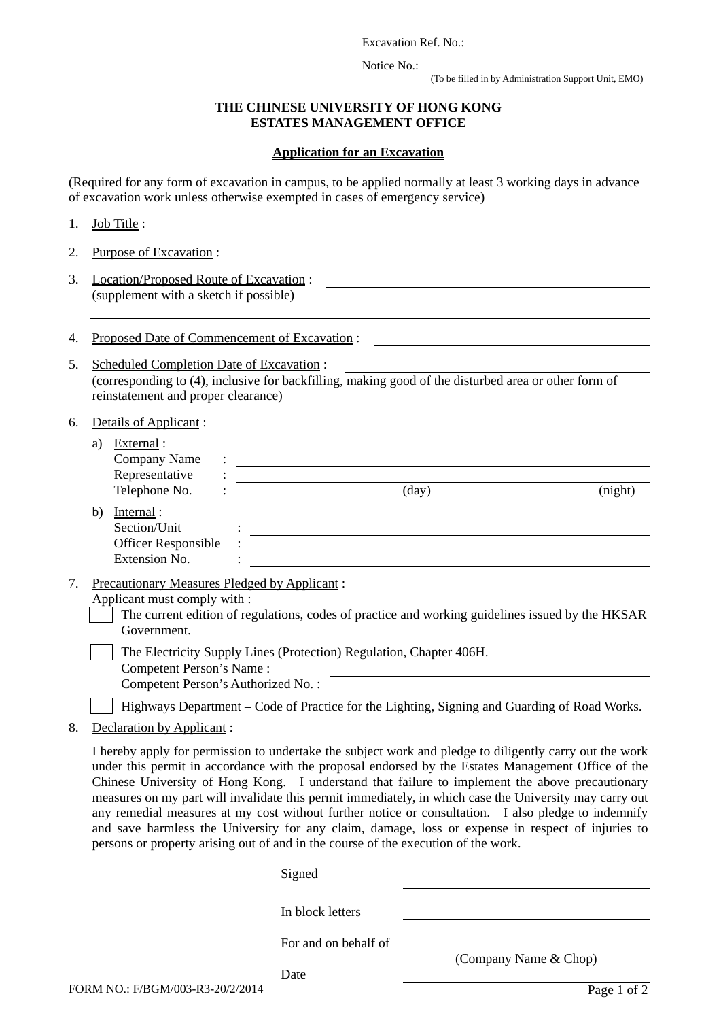Excavation Ref. No.:

Notice No.:

(To be filled in by Administration Support Unit, EMO)

## **THE CHINESE UNIVERSITY OF HONG KONG ESTATES MANAGEMENT OFFICE**

## **Application for an Excavation**

(Required for any form of excavation in campus, to be applied normally at least 3 working days in advance of excavation work unless otherwise exempted in cases of emergency service)

| 1. | Job Title:                                                                                                                                                                                                                                                                                                                                                                                                                                                                                                                                                                                                                                                                                                                    |  |  |
|----|-------------------------------------------------------------------------------------------------------------------------------------------------------------------------------------------------------------------------------------------------------------------------------------------------------------------------------------------------------------------------------------------------------------------------------------------------------------------------------------------------------------------------------------------------------------------------------------------------------------------------------------------------------------------------------------------------------------------------------|--|--|
| 2. | Purpose of Excavation:                                                                                                                                                                                                                                                                                                                                                                                                                                                                                                                                                                                                                                                                                                        |  |  |
| 3. | Location/Proposed Route of Excavation:                                                                                                                                                                                                                                                                                                                                                                                                                                                                                                                                                                                                                                                                                        |  |  |
|    | (supplement with a sketch if possible)                                                                                                                                                                                                                                                                                                                                                                                                                                                                                                                                                                                                                                                                                        |  |  |
| 4. | Proposed Date of Commencement of Excavation:                                                                                                                                                                                                                                                                                                                                                                                                                                                                                                                                                                                                                                                                                  |  |  |
| 5. | <b>Scheduled Completion Date of Excavation:</b><br>(corresponding to (4), inclusive for backfilling, making good of the disturbed area or other form of<br>reinstatement and proper clearance)                                                                                                                                                                                                                                                                                                                                                                                                                                                                                                                                |  |  |
| 6. | Details of Applicant:<br>External:<br>a)<br>Company Name<br>Representative<br><u> 1980 - Johann Barn, mars ann an t-Amhain Aonaich an t-Aonaich an t-Aonaich ann an t-Aonaich ann an t-Aonaich</u>                                                                                                                                                                                                                                                                                                                                                                                                                                                                                                                            |  |  |
|    | $\text{(day)}$<br>Telephone No.<br>(night)                                                                                                                                                                                                                                                                                                                                                                                                                                                                                                                                                                                                                                                                                    |  |  |
|    | Internal:<br>b)<br>Section/Unit                                                                                                                                                                                                                                                                                                                                                                                                                                                                                                                                                                                                                                                                                               |  |  |
|    | <b>Officer Responsible</b>                                                                                                                                                                                                                                                                                                                                                                                                                                                                                                                                                                                                                                                                                                    |  |  |
|    | Extension No.                                                                                                                                                                                                                                                                                                                                                                                                                                                                                                                                                                                                                                                                                                                 |  |  |
| 7. | <b>Precautionary Measures Pledged by Applicant:</b><br>Applicant must comply with :<br>The current edition of regulations, codes of practice and working guidelines issued by the HKSAR<br>Government.                                                                                                                                                                                                                                                                                                                                                                                                                                                                                                                        |  |  |
|    | The Electricity Supply Lines (Protection) Regulation, Chapter 406H.                                                                                                                                                                                                                                                                                                                                                                                                                                                                                                                                                                                                                                                           |  |  |
|    | Competent Person's Name:<br>Competent Person's Authorized No.:                                                                                                                                                                                                                                                                                                                                                                                                                                                                                                                                                                                                                                                                |  |  |
|    | Highways Department - Code of Practice for the Lighting, Signing and Guarding of Road Works.                                                                                                                                                                                                                                                                                                                                                                                                                                                                                                                                                                                                                                  |  |  |
| 8. | Declaration by Applicant:                                                                                                                                                                                                                                                                                                                                                                                                                                                                                                                                                                                                                                                                                                     |  |  |
|    | I hereby apply for permission to undertake the subject work and pledge to diligently carry out the work<br>under this permit in accordance with the proposal endorsed by the Estates Management Office of the<br>Chinese University of Hong Kong. I understand that failure to implement the above precautionary<br>measures on my part will invalidate this permit immediately, in which case the University may carry out<br>any remedial measures at my cost without further notice or consultation. I also pledge to indemnify<br>and save harmless the University for any claim, damage, loss or expense in respect of injuries to<br>persons or property arising out of and in the course of the execution of the work. |  |  |
|    | Signed                                                                                                                                                                                                                                                                                                                                                                                                                                                                                                                                                                                                                                                                                                                        |  |  |
|    | In block letters                                                                                                                                                                                                                                                                                                                                                                                                                                                                                                                                                                                                                                                                                                              |  |  |
|    |                                                                                                                                                                                                                                                                                                                                                                                                                                                                                                                                                                                                                                                                                                                               |  |  |
|    | For and on behalf of<br>(Company Name & Chop)                                                                                                                                                                                                                                                                                                                                                                                                                                                                                                                                                                                                                                                                                 |  |  |
|    |                                                                                                                                                                                                                                                                                                                                                                                                                                                                                                                                                                                                                                                                                                                               |  |  |

Date